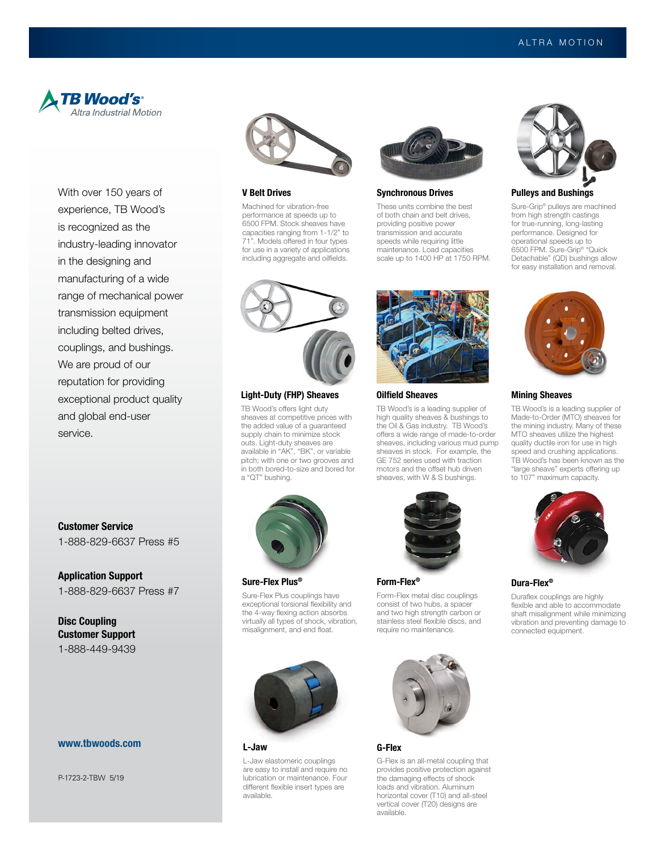

With over 150 years of experience, TB Wood's is recognized as the industry-leading innovator in the designing and manufacturing of a wide range of mechanical power transmission equipment including belted drives, couplings, and bushings. We are proud of our reputation for providing exceptional product quality and global end-user service.

Customer Service 1-888-829-6637 Press #5

Application Support 1-888-829-6637 Press #7

Disc Coupling Customer Support 1-888-449-9439

## www.tbwoods.com

P-1723-2-TBW 5/19



### V Belt Drives

Machined for vibration-free performance at speeds up to 6500 FPM. Stock sheaves have capacities ranging from 1-1/2" to 71". Models offered in four types for use in a variety of applications including aggregate and oilfields.



### Synchronous Drives

These units combine the best of both chain and belt drives, providing positive power transmission and accurate speeds while requiring little maintenance. Load capacities scale up to 1400 HP at 1750 RPM.



### Light-Duty (FHP) Sheaves

TB Wood's offers light duty sheaves at competitive prices with the added value of a guaranteed supply chain to minimize stock outs. Light-duty sheaves are available in "AK", "BK", or variable pitch; with one or two grooves and in both bored-to-size and bored for a "QT" bushing.



Sure-Flex Plus®

Sure-Flex Plus couplings have exceptional torsional flexibility and the 4-way flexing action absorbs virtually all types of shock, vibration, misalignment, and end float.



### L-Jaw

L-Jaw elastomeric couplings are easy to install and require no lubrication or maintenance. Four different flexible insert types are available.



### Oilfield Sheaves

TB Wood's is a leading supplier of high quality sheaves & bushings to the Oil & Gas industry. TB Wood's offers a wide range of made-to-order sheaves, including various mud pump sheaves in stock. For example, the GE 752 series used with traction motors and the offset hub driven sheaves, with W & S bushings.



Form-Flex®

Form-Flex metal disc couplings consist of two hubs, a spacer and two high strength carbon or stainless steel flexible discs, and require no maintenance.



### G-Flex

G-Flex is an all-metal coupling that provides positive protection against the damaging effects of shock loads and vibration. Aluminum horizontal cover (T10) and all-steel vertical cover (T20) designs are available.



#### Pulleys and Bushings

Sure-Grip® pulleys are machined from high strength castings for true-running, long-lasting performance. Designed for operational speeds up to 6500 FPM. Sure-Grip® "Quick Detachable" (QD) bushings allow for easy installation and removal.



### Mining Sheaves

TB Wood's is a leading supplier of Made-to-Order (MTO) sheaves for the mining industry. Many of these MTO sheaves utilize the highest quality ductile iron for use in high speed and crushing applications. TB Wood's has been known as the "large sheave" experts offering up to 107" maximum capacity.



Dura-Flex®

Duraflex couplings are highly flexible and able to accommodate shaft misalignment while minimizing vibration and preventing damage to connected equipment.